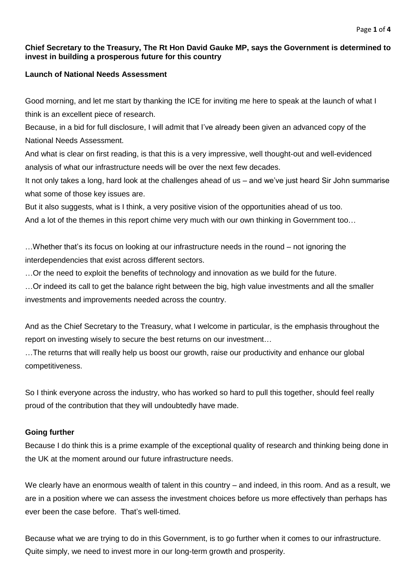## **Chief Secretary to the Treasury, The Rt Hon David Gauke MP, says the Government is determined to invest in building a prosperous future for this country**

# **Launch of National Needs Assessment**

Good morning, and let me start by thanking the ICE for inviting me here to speak at the launch of what I think is an excellent piece of research.

Because, in a bid for full disclosure, I will admit that I've already been given an advanced copy of the National Needs Assessment.

And what is clear on first reading, is that this is a very impressive, well thought-out and well-evidenced analysis of what our infrastructure needs will be over the next few decades.

It not only takes a long, hard look at the challenges ahead of us – and we've just heard Sir John summarise what some of those key issues are.

But it also suggests, what is I think, a very positive vision of the opportunities ahead of us too.

And a lot of the themes in this report chime very much with our own thinking in Government too…

…Whether that's its focus on looking at our infrastructure needs in the round – not ignoring the interdependencies that exist across different sectors.

…Or the need to exploit the benefits of technology and innovation as we build for the future.

…Or indeed its call to get the balance right between the big, high value investments and all the smaller investments and improvements needed across the country.

And as the Chief Secretary to the Treasury, what I welcome in particular, is the emphasis throughout the report on investing wisely to secure the best returns on our investment…

…The returns that will really help us boost our growth, raise our productivity and enhance our global competitiveness.

So I think everyone across the industry, who has worked so hard to pull this together, should feel really proud of the contribution that they will undoubtedly have made.

# **Going further**

Because I do think this is a prime example of the exceptional quality of research and thinking being done in the UK at the moment around our future infrastructure needs.

We clearly have an enormous wealth of talent in this country – and indeed, in this room. And as a result, we are in a position where we can assess the investment choices before us more effectively than perhaps has ever been the case before. That's well-timed.

Because what we are trying to do in this Government, is to go further when it comes to our infrastructure. Quite simply, we need to invest more in our long-term growth and prosperity.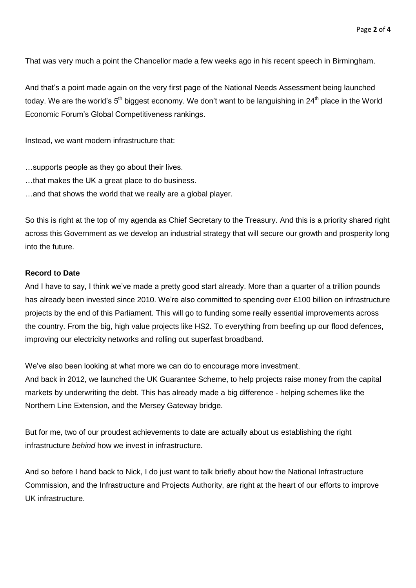That was very much a point the Chancellor made a few weeks ago in his recent speech in Birmingham.

And that's a point made again on the very first page of the National Needs Assessment being launched today. We are the world's  $5<sup>th</sup>$  biggest economy. We don't want to be languishing in 24<sup>th</sup> place in the World Economic Forum's Global Competitiveness rankings.

Instead, we want modern infrastructure that:

- …supports people as they go about their lives.
- …that makes the UK a great place to do business.
- …and that shows the world that we really are a global player.

So this is right at the top of my agenda as Chief Secretary to the Treasury. And this is a priority shared right across this Government as we develop an industrial strategy that will secure our growth and prosperity long into the future.

#### **Record to Date**

And I have to say, I think we've made a pretty good start already. More than a quarter of a trillion pounds has already been invested since 2010. We're also committed to spending over £100 billion on infrastructure projects by the end of this Parliament. This will go to funding some really essential improvements across the country. From the big, high value projects like HS2. To everything from beefing up our flood defences, improving our electricity networks and rolling out superfast broadband.

We've also been looking at what more we can do to encourage more investment. And back in 2012, we launched the UK Guarantee Scheme, to help projects raise money from the capital markets by underwriting the debt. This has already made a big difference - helping schemes like the Northern Line Extension, and the Mersey Gateway bridge.

But for me, two of our proudest achievements to date are actually about us establishing the right infrastructure *behind* how we invest in infrastructure.

And so before I hand back to Nick, I do just want to talk briefly about how the National Infrastructure Commission, and the Infrastructure and Projects Authority, are right at the heart of our efforts to improve UK infrastructure.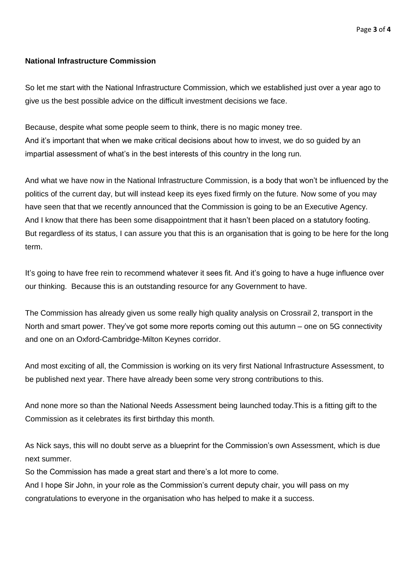### **National Infrastructure Commission**

So let me start with the National Infrastructure Commission, which we established just over a year ago to give us the best possible advice on the difficult investment decisions we face.

Because, despite what some people seem to think, there is no magic money tree. And it's important that when we make critical decisions about how to invest, we do so guided by an impartial assessment of what's in the best interests of this country in the long run.

And what we have now in the National Infrastructure Commission, is a body that won't be influenced by the politics of the current day, but will instead keep its eyes fixed firmly on the future. Now some of you may have seen that that we recently announced that the Commission is going to be an Executive Agency. And I know that there has been some disappointment that it hasn't been placed on a statutory footing. But regardless of its status, I can assure you that this is an organisation that is going to be here for the long term.

It's going to have free rein to recommend whatever it sees fit. And it's going to have a huge influence over our thinking. Because this is an outstanding resource for any Government to have.

The Commission has already given us some really high quality analysis on Crossrail 2, transport in the North and smart power. They've got some more reports coming out this autumn – one on 5G connectivity and one on an Oxford-Cambridge-Milton Keynes corridor.

And most exciting of all, the Commission is working on its very first National Infrastructure Assessment, to be published next year. There have already been some very strong contributions to this.

And none more so than the National Needs Assessment being launched today.This is a fitting gift to the Commission as it celebrates its first birthday this month.

As Nick says, this will no doubt serve as a blueprint for the Commission's own Assessment, which is due next summer.

So the Commission has made a great start and there's a lot more to come. And I hope Sir John, in your role as the Commission's current deputy chair, you will pass on my congratulations to everyone in the organisation who has helped to make it a success.